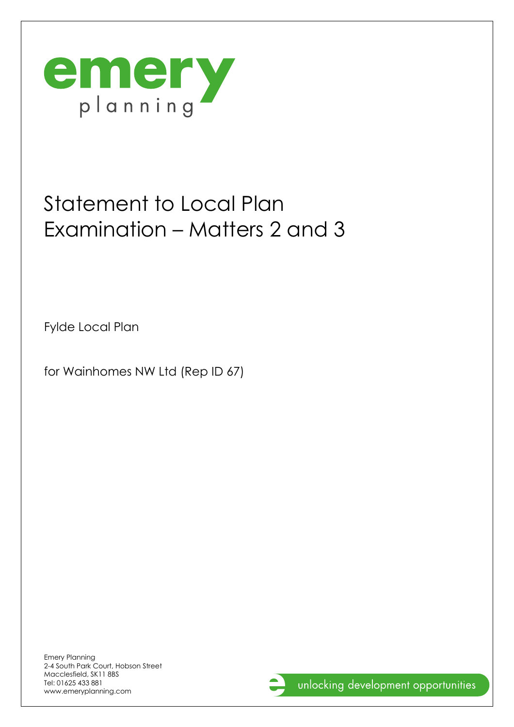

## Statement to Local Plan Examination – Matters 2 and 3

Fylde Local Plan

for Wainhomes NW Ltd (Rep ID 67)

Emery Planning 2-4 South Park Court, Hobson Street Macclesfield, SK11 8BS Tel: 01625 433 881 www.emeryplanning.com

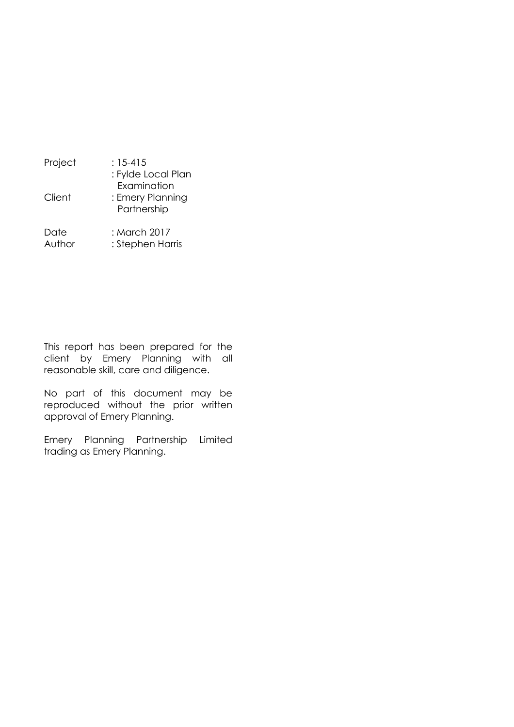| Project        | $: 15 - 415$<br>: Fylde Local Plan             |
|----------------|------------------------------------------------|
| Client         | Examination<br>: Emery Planning<br>Partnership |
| Date<br>Author | : March 2017<br>: Stephen Harris               |

This report has been prepared for the client by Emery Planning with all reasonable skill, care and diligence.

No part of this document may be reproduced without the prior written approval of Emery Planning.

Emery Planning Partnership Limited trading as Emery Planning.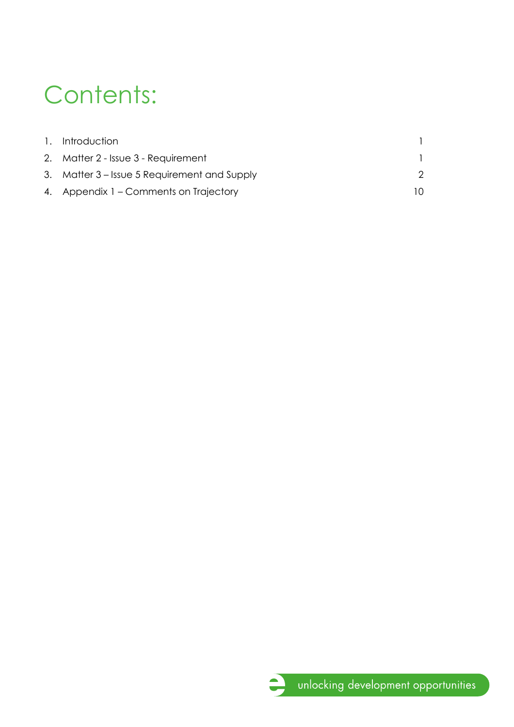# Contents:

| 1. Introduction                              |     |
|----------------------------------------------|-----|
| 2. Matter 2 - Issue 3 - Requirement          |     |
| 3. Matter 3 – Issue 5 Requirement and Supply |     |
| 4. Appendix 1 – Comments on Trajectory       | ה ו |

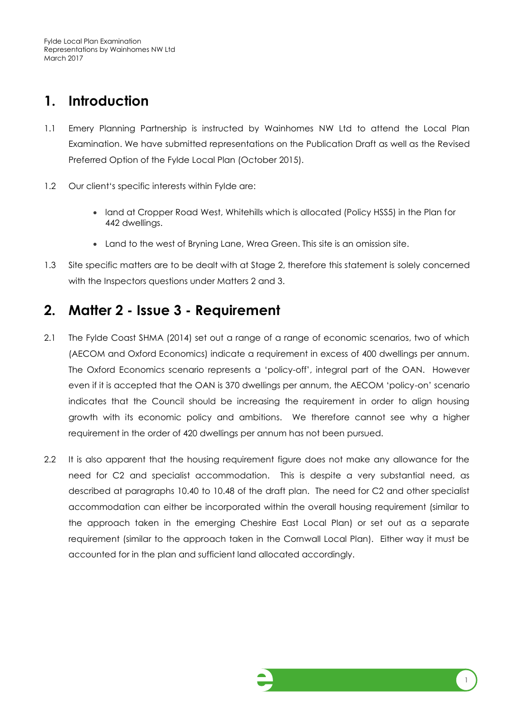## <span id="page-3-0"></span>**1. Introduction**

- 1.1 Emery Planning Partnership is instructed by Wainhomes NW Ltd to attend the Local Plan Examination. We have submitted representations on the Publication Draft as well as the Revised Preferred Option of the Fylde Local Plan (October 2015).
- 1.2 Our client's specific interests within Fylde are:
	- land at Cropper Road West, Whitehills which is allocated (Policy HSS5) in the Plan for 442 dwellings.
	- Land to the west of Bryning Lane, Wrea Green. This site is an omission site.
- 1.3 Site specific matters are to be dealt with at Stage 2, therefore this statement is solely concerned with the Inspectors questions under Matters 2 and 3.

### <span id="page-3-1"></span>**2. Matter 2 - Issue 3 - Requirement**

- 2.1 The Fylde Coast SHMA (2014) set out a range of a range of economic scenarios, two of which (AECOM and Oxford Economics) indicate a requirement in excess of 400 dwellings per annum. The Oxford Economics scenario represents a 'policy-off', integral part of the OAN. However even if it is accepted that the OAN is 370 dwellings per annum, the AECOM 'policy-on' scenario indicates that the Council should be increasing the requirement in order to align housing growth with its economic policy and ambitions. We therefore cannot see why a higher requirement in the order of 420 dwellings per annum has not been pursued.
- 2.2 It is also apparent that the housing requirement figure does not make any allowance for the need for C2 and specialist accommodation. This is despite a very substantial need, as described at paragraphs 10.40 to 10.48 of the draft plan. The need for C2 and other specialist accommodation can either be incorporated within the overall housing requirement (similar to the approach taken in the emerging Cheshire East Local Plan) or set out as a separate requirement (similar to the approach taken in the Cornwall Local Plan). Either way it must be accounted for in the plan and sufficient land allocated accordingly.

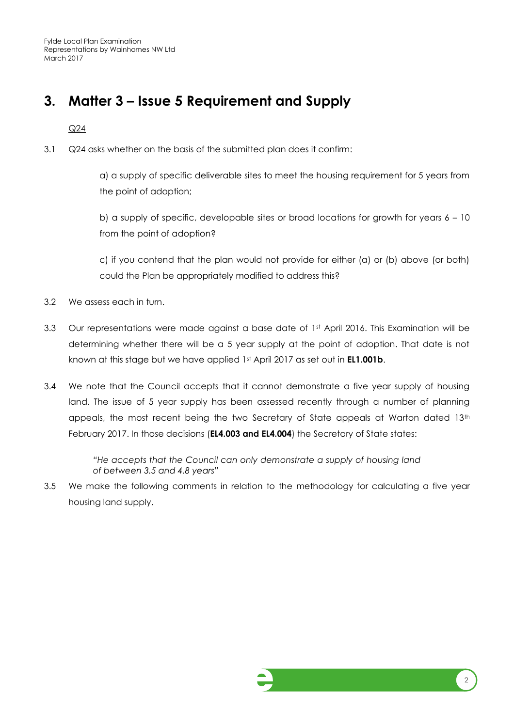Fylde Local Plan Examination Representations by Wainhomes NW Ltd March 2017

## <span id="page-4-0"></span>**3. Matter 3 – Issue 5 Requirement and Supply**

Q24

3.1 Q24 asks whether on the basis of the submitted plan does it confirm:

a) a supply of specific deliverable sites to meet the housing requirement for 5 years from the point of adoption;

b) a supply of specific, developable sites or broad locations for growth for years  $6 - 10$ from the point of adoption?

c) if you contend that the plan would not provide for either (a) or (b) above (or both) could the Plan be appropriately modified to address this?

- 3.2 We assess each in turn.
- 3.3 Our representations were made against a base date of 1st April 2016. This Examination will be determining whether there will be a 5 year supply at the point of adoption. That date is not known at this stage but we have applied 1st April 2017 as set out in **EL1.001b**.
- 3.4 We note that the Council accepts that it cannot demonstrate a five year supply of housing land. The issue of 5 year supply has been assessed recently through a number of planning appeals, the most recent being the two Secretary of State appeals at Warton dated 13<sup>th</sup> February 2017. In those decisions (**EL4.003 and EL4.004**) the Secretary of State states:

*"He accepts that the Council can only demonstrate a supply of housing land of between 3.5 and 4.8 years"*

3.5 We make the following comments in relation to the methodology for calculating a five year housing land supply.

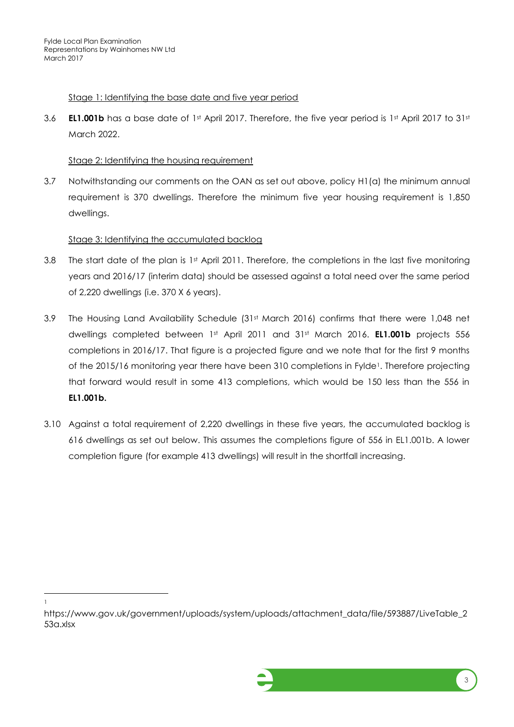#### Stage 1: Identifying the base date and five year period

3.6 **EL1.001b** has a base date of 1st April 2017. Therefore, the five year period is 1st April 2017 to 31st March 2022.

#### Stage 2: Identifying the housing requirement

3.7 Notwithstanding our comments on the OAN as set out above, policy H1(a) the minimum annual requirement is 370 dwellings. Therefore the minimum five year housing requirement is 1,850 dwellings.

#### Stage 3: Identifying the accumulated backlog

- 3.8 The start date of the plan is 1st April 2011. Therefore, the completions in the last five monitoring years and 2016/17 (interim data) should be assessed against a total need over the same period of 2,220 dwellings (i.e. 370 X 6 years).
- 3.9 The Housing Land Availability Schedule (31st March 2016) confirms that there were 1,048 net dwellings completed between 1<sup>st</sup> April 2011 and 31<sup>st</sup> March 2016. **EL1.001b** projects 556 completions in 2016/17. That figure is a projected figure and we note that for the first 9 months of the 2015/16 monitoring year there have been 310 completions in Fylde<sup>1</sup>. Therefore projecting that forward would result in some 413 completions, which would be 150 less than the 556 in **EL1.001b.**
- 3.10 Against a total requirement of 2,220 dwellings in these five years, the accumulated backlog is 616 dwellings as set out below. This assumes the completions figure of 556 in EL1.001b. A lower completion figure (for example 413 dwellings) will result in the shortfall increasing.

l 1

https://www.gov.uk/government/uploads/system/uploads/attachment\_data/file/593887/LiveTable\_2 53a.xlsx

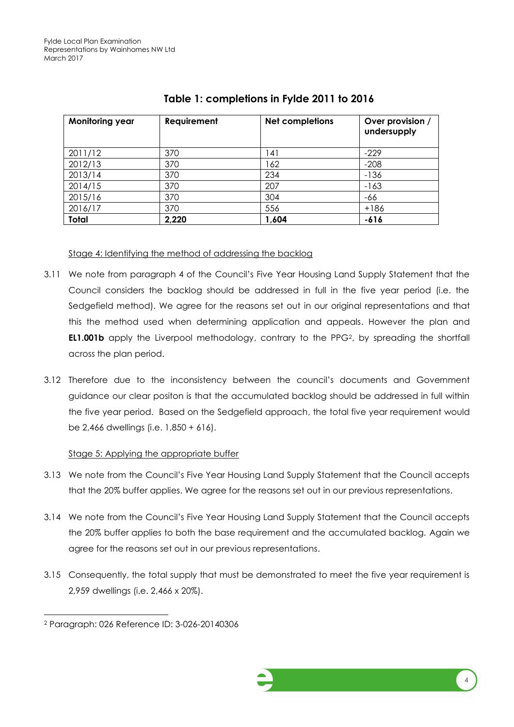| <b>Monitoring year</b> | Requirement | <b>Net completions</b> | Over provision /<br>undersupply |
|------------------------|-------------|------------------------|---------------------------------|
| 2011/12                | 370         | 141                    | $-229$                          |
| 2012/13                | 370         | 162                    | $-208$                          |
| 2013/14                | 370         | 234                    | $-136$                          |
| 2014/15                | 370         | 207                    | $-163$                          |
| 2015/16                | 370         | 304                    | -66                             |
| 2016/17                | 370         | 556                    | $+186$                          |
| <b>Total</b>           | 2,220       | 1,604                  | $-616$                          |

#### **Table 1: completions in Fylde 2011 to 2016**

#### Stage 4: Identifying the method of addressing the backlog

- 3.11 We note from paragraph 4 of the Council's Five Year Housing Land Supply Statement that the Council considers the backlog should be addressed in full in the five year period (i.e. the Sedgefield method). We agree for the reasons set out in our original representations and that this the method used when determining application and appeals. However the plan and **EL1.001b** apply the Liverpool methodology, contrary to the PPG<sup>2</sup>, by spreading the shortfall across the plan period.
- 3.12 Therefore due to the inconsistency between the council's documents and Government guidance our clear positon is that the accumulated backlog should be addressed in full within the five year period. Based on the Sedgefield approach, the total five year requirement would be 2,466 dwellings (i.e. 1,850 + 616).

#### Stage 5: Applying the appropriate buffer

- 3.13 We note from the Council's Five Year Housing Land Supply Statement that the Council accepts that the 20% buffer applies. We agree for the reasons set out in our previous representations.
- 3.14 We note from the Council's Five Year Housing Land Supply Statement that the Council accepts the 20% buffer applies to both the base requirement and the accumulated backlog. Again we agree for the reasons set out in our previous representations.
- 3.15 Consequently, the total supply that must be demonstrated to meet the five year requirement is 2,959 dwellings (i.e. 2,466 x 20%).

l



<sup>2</sup> Paragraph: 026 Reference ID: 3-026-20140306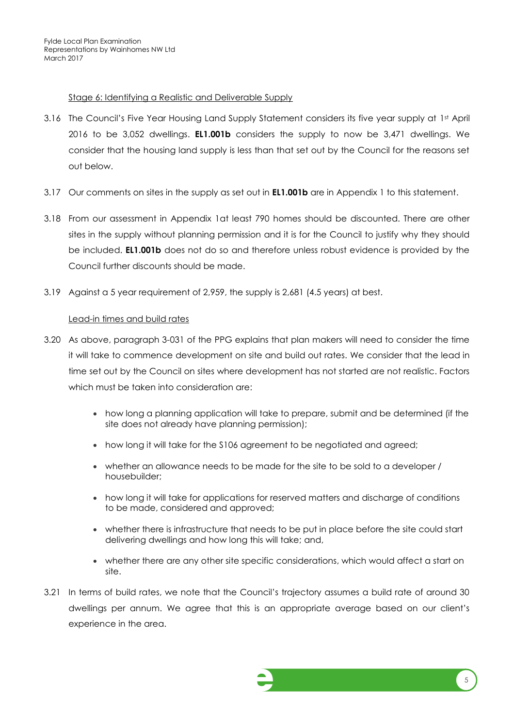#### Stage 6: Identifying a Realistic and Deliverable Supply

- 3.16 The Council's Five Year Housing Land Supply Statement considers its five year supply at 1st April 2016 to be 3,052 dwellings. **EL1.001b** considers the supply to now be 3,471 dwellings. We consider that the housing land supply is less than that set out by the Council for the reasons set out below.
- 3.17 Our comments on sites in the supply as set out in **EL1.001b** are in Appendix 1 to this statement.
- 3.18 From our assessment in Appendix 1at least 790 homes should be discounted. There are other sites in the supply without planning permission and it is for the Council to justify why they should be included. **EL1.001b** does not do so and therefore unless robust evidence is provided by the Council further discounts should be made.
- 3.19 Against a 5 year requirement of 2,959, the supply is 2,681 (4.5 years) at best.

#### Lead-in times and build rates

- 3.20 As above, paragraph 3-031 of the PPG explains that plan makers will need to consider the time it will take to commence development on site and build out rates. We consider that the lead in time set out by the Council on sites where development has not started are not realistic. Factors which must be taken into consideration are:
	- how long a planning application will take to prepare, submit and be determined (if the site does not already have planning permission);
	- how long it will take for the S106 agreement to be negotiated and agreed;
	- whether an allowance needs to be made for the site to be sold to a developer / housebuilder;
	- how long it will take for applications for reserved matters and discharge of conditions to be made, considered and approved;
	- whether there is infrastructure that needs to be put in place before the site could start delivering dwellings and how long this will take; and,
	- whether there are any other site specific considerations, which would affect a start on site.
- 3.21 In terms of build rates, we note that the Council's trajectory assumes a build rate of around 30 dwellings per annum. We agree that this is an appropriate average based on our client's experience in the area.

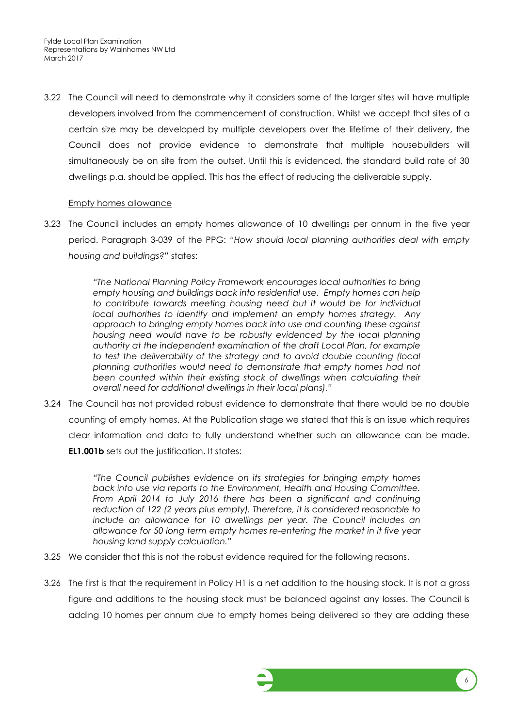3.22 The Council will need to demonstrate why it considers some of the larger sites will have multiple developers involved from the commencement of construction. Whilst we accept that sites of a certain size may be developed by multiple developers over the lifetime of their delivery, the Council does not provide evidence to demonstrate that multiple housebuilders will simultaneously be on site from the outset. Until this is evidenced, the standard build rate of 30 dwellings p.a. should be applied. This has the effect of reducing the deliverable supply.

#### Empty homes allowance

3.23 The Council includes an empty homes allowance of 10 dwellings per annum in the five year period. Paragraph 3-039 of the PPG: *"How should local planning authorities deal with empty housing and buildings?"* states:

> *"The National Planning Policy Framework encourages local authorities to bring empty housing and buildings back into residential use. Empty homes can help*  to contribute towards meeting housing need but it would be for individual *local authorities to identify and implement an empty homes strategy. Any approach to bringing empty homes back into use and counting these against housing need would have to be robustly evidenced by the local planning authority at the independent examination of the draft Local Plan, for example to test the deliverability of the strategy and to avoid double counting (local*  $\overline{a}$ *planning authorities would need to demonstrate that empty homes had not*  been counted within their existing stock of dwellings when calculating their *overall need for additional dwellings in their local plans)."*

3.24 The Council has not provided robust evidence to demonstrate that there would be no double counting of empty homes. At the Publication stage we stated that this is an issue which requires clear information and data to fully understand whether such an allowance can be made. **EL1.001b** sets out the justification. It states:

> *"The Council publishes evidence on its strategies for bringing empty homes back into use via reports to the Environment, Health and Housing Committee. From April 2014 to July 2016 there has been a significant and continuing reduction of 122 (2 years plus empty). Therefore, it is considered reasonable to include an allowance for 10 dwellings per year. The Council includes an allowance for 50 long term empty homes re-entering the market in it five year housing land supply calculation."*

- 3.25 We consider that this is not the robust evidence required for the following reasons.
- 3.26 The first is that the requirement in Policy H1 is a net addition to the housing stock. It is not a gross figure and additions to the housing stock must be balanced against any losses. The Council is adding 10 homes per annum due to empty homes being delivered so they are adding these

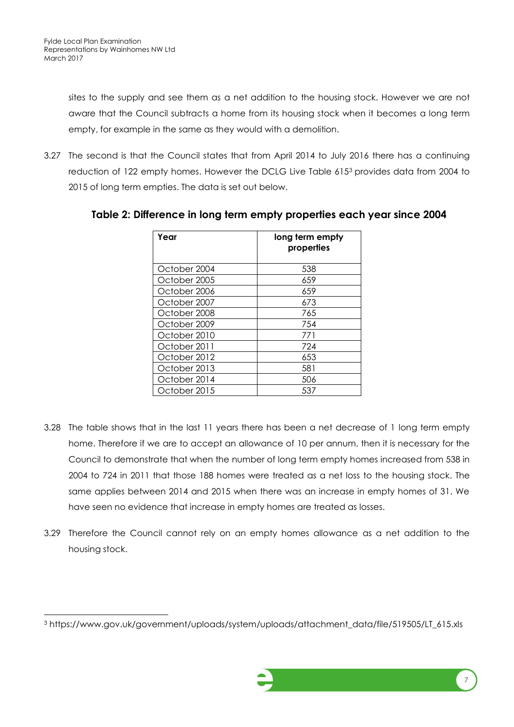l

sites to the supply and see them as a net addition to the housing stock. However we are not aware that the Council subtracts a home from its housing stock when it becomes a long term empty, for example in the same as they would with a demolition.

3.27 The second is that the Council states that from April 2014 to July 2016 there has a continuing reduction of 122 empty homes. However the DCLG Live Table 615<sup>3</sup> provides data from 2004 to 2015 of long term empties. The data is set out below.

| Year         | long term empty<br>properties |
|--------------|-------------------------------|
| October 2004 | 538                           |
| October 2005 | 659                           |
| October 2006 | 659                           |
| October 2007 | 673                           |
| October 2008 | 765                           |
| October 2009 | 754                           |
| October 2010 | 771                           |
| October 2011 | 724                           |
| October 2012 | 653                           |
| October 2013 | 581                           |
| October 2014 | 506                           |
| October 2015 | 537                           |

**Table 2: Difference in long term empty properties each year since 2004**

- 3.28 The table shows that in the last 11 years there has been a net decrease of 1 long term empty home. Therefore if we are to accept an allowance of 10 per annum, then it is necessary for the Council to demonstrate that when the number of long term empty homes increased from 538 in 2004 to 724 in 2011 that those 188 homes were treated as a net loss to the housing stock. The same applies between 2014 and 2015 when there was an increase in empty homes of 31. We have seen no evidence that increase in empty homes are treated as losses.
- 3.29 Therefore the Council cannot rely on an empty homes allowance as a net addition to the housing stock.

<sup>3</sup> https://www.gov.uk/government/uploads/system/uploads/attachment\_data/file/519505/LT\_615.xls

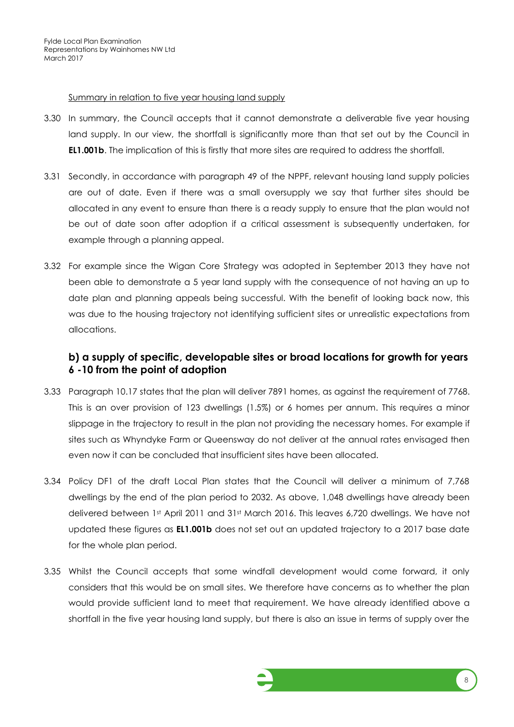#### Summary in relation to five year housing land supply

- 3.30 In summary, the Council accepts that it cannot demonstrate a deliverable five year housing land supply. In our view, the shortfall is significantly more than that set out by the Council in **EL1.001b**. The implication of this is firstly that more sites are required to address the shortfall.
- 3.31 Secondly, in accordance with paragraph 49 of the NPPF, relevant housing land supply policies are out of date. Even if there was a small oversupply we say that further sites should be allocated in any event to ensure than there is a ready supply to ensure that the plan would not be out of date soon after adoption if a critical assessment is subsequently undertaken, for example through a planning appeal.
- 3.32 For example since the Wigan Core Strategy was adopted in September 2013 they have not been able to demonstrate a 5 year land supply with the consequence of not having an up to date plan and planning appeals being successful. With the benefit of looking back now, this was due to the housing trajectory not identifying sufficient sites or unrealistic expectations from allocations.

#### **b) a supply of specific, developable sites or broad locations for growth for years 6 -10 from the point of adoption**

- 3.33 Paragraph 10.17 states that the plan will deliver 7891 homes, as against the requirement of 7768. This is an over provision of 123 dwellings (1.5%) or 6 homes per annum. This requires a minor slippage in the trajectory to result in the plan not providing the necessary homes. For example if sites such as Whyndyke Farm or Queensway do not deliver at the annual rates envisaged then even now it can be concluded that insufficient sites have been allocated.
- 3.34 Policy DF1 of the draft Local Plan states that the Council will deliver a minimum of 7,768 dwellings by the end of the plan period to 2032. As above, 1,048 dwellings have already been delivered between 1st April 2011 and 31st March 2016. This leaves 6,720 dwellings. We have not updated these figures as **EL1.001b** does not set out an updated trajectory to a 2017 base date for the whole plan period.
- 3.35 Whilst the Council accepts that some windfall development would come forward, it only considers that this would be on small sites. We therefore have concerns as to whether the plan would provide sufficient land to meet that requirement. We have already identified above a shortfall in the five year housing land supply, but there is also an issue in terms of supply over the

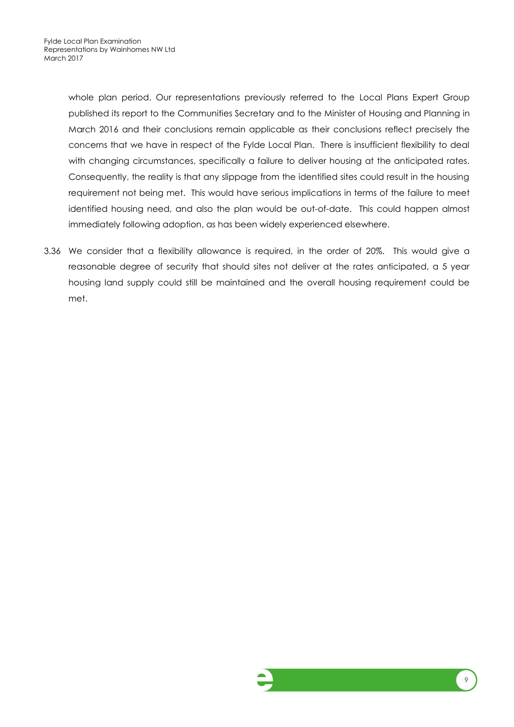whole plan period. Our representations previously referred to the Local Plans Expert Group published its report to the Communities Secretary and to the Minister of Housing and Planning in March 2016 and their conclusions remain applicable as their conclusions reflect precisely the concerns that we have in respect of the Fylde Local Plan. There is insufficient flexibility to deal with changing circumstances, specifically a failure to deliver housing at the anticipated rates. Consequently, the reality is that any slippage from the identified sites could result in the housing requirement not being met. This would have serious implications in terms of the failure to meet identified housing need, and also the plan would be out-of-date. This could happen almost immediately following adoption, as has been widely experienced elsewhere.

3.36 We consider that a flexibility allowance is required, in the order of 20%. This would give a reasonable degree of security that should sites not deliver at the rates anticipated, a 5 year housing land supply could still be maintained and the overall housing requirement could be met.

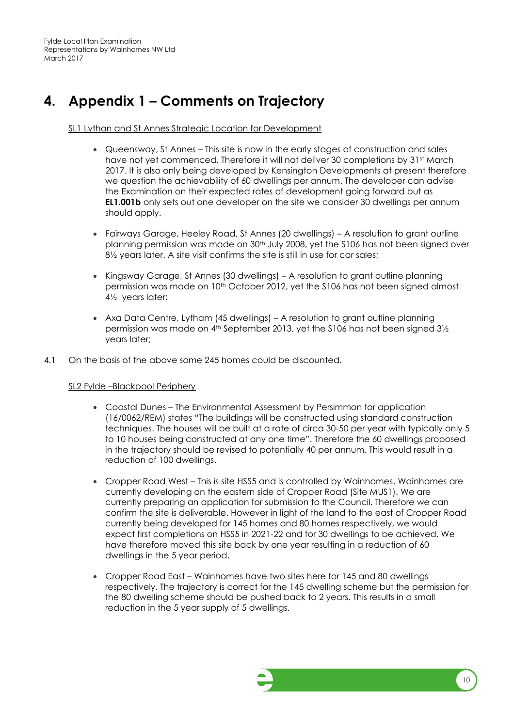## <span id="page-12-0"></span>**4. Appendix 1 – Comments on Trajectory**

SL1 Lythan and St Annes Strategic Location for Development

- Queensway, St Annes This site is now in the early stages of construction and sales have not yet commenced. Therefore it will not deliver 30 completions by 31st March 2017. It is also only being developed by Kensington Developments at present therefore we question the achievability of 60 dwellings per annum. The developer can advise the Examination on their expected rates of development going forward but as **EL1.001b** only sets out one developer on the site we consider 30 dwellings per annum should apply.
- Fairways Garage, Heeley Road, St Annes (20 dwellings) A resolution to grant outline planning permission was made on 30<sup>th</sup> July 2008, yet the S106 has not been signed over 8<sup>1/2</sup> years later. A site visit confirms the site is still in use for car sales;
- Kingsway Garage, St Annes (30 dwellings) A resolution to grant outline planning permission was made on 10th October 2012, yet the S106 has not been signed almost 4½ years later;
- Axa Data Centre, Lytham (45 dwellings) A resolution to grant outline planning permission was made on  $4<sup>th</sup>$  September 2013, yet the S106 has not been signed  $3\frac{1}{2}$ years later;
- 4.1 On the basis of the above some 245 homes could be discounted.

#### SL2 Fylde –Blackpool Periphery

- Coastal Dunes The Environmental Assessment by Persimmon for application (16/0062/REM) states "The buildings will be constructed using standard construction techniques. The houses will be built at a rate of circa 30-50 per year with typically only 5 to 10 houses being constructed at any one time". Therefore the 60 dwellings proposed in the trajectory should be revised to potentially 40 per annum. This would result in a reduction of 100 dwellings.
- Cropper Road West This is site HSS5 and is controlled by Wainhomes. Wainhomes are currently developing on the eastern side of Cropper Road (Site MUS1). We are currently preparing an application for submission to the Council. Therefore we can confirm the site is deliverable. However in light of the land to the east of Cropper Road currently being developed for 145 homes and 80 homes respectively, we would expect first completions on HSS5 in 2021-22 and for 30 dwellings to be achieved. We have therefore moved this site back by one year resulting in a reduction of 60 dwellings in the 5 year period.
- Cropper Road East Wainhomes have two sites here for 145 and 80 dwellings respectively. The trajectory is correct for the 145 dwelling scheme but the permission for the 80 dwelling scheme should be pushed back to 2 years. This results in a small reduction in the 5 year supply of 5 dwellings.